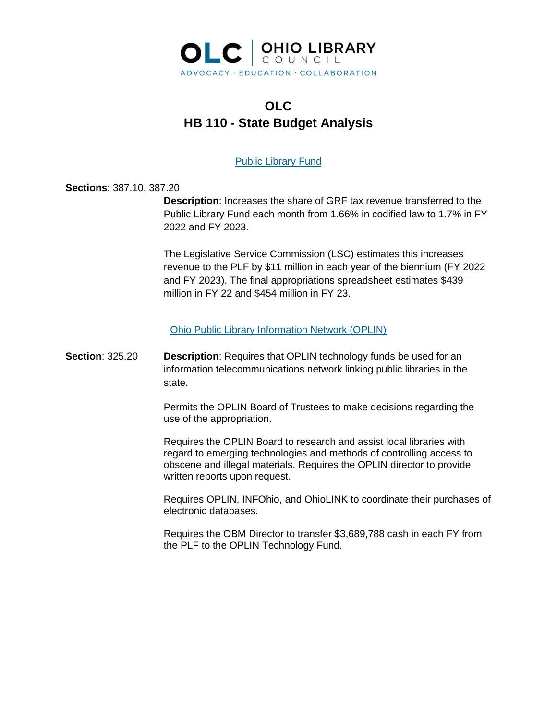

# **OLC HB 110 - State Budget Analysis**

# Public Library Fund

**Sections**: 387.10, 387.20

**Description**: Increases the share of GRF tax revenue transferred to the Public Library Fund each month from 1.66% in codified law to 1.7% in FY 2022 and FY 2023.

The Legislative Service Commission (LSC) estimates this increases revenue to the PLF by \$11 million in each year of the biennium (FY 2022 and FY 2023). The final appropriations spreadsheet estimates \$439 million in FY 22 and \$454 million in FY 23.

Ohio Public Library Information Network (OPLIN)

**Section**: 325.20 **Description**: Requires that OPLIN technology funds be used for an information telecommunications network linking public libraries in the state.

> Permits the OPLIN Board of Trustees to make decisions regarding the use of the appropriation.

> Requires the OPLIN Board to research and assist local libraries with regard to emerging technologies and methods of controlling access to obscene and illegal materials. Requires the OPLIN director to provide written reports upon request.

Requires OPLIN, INFOhio, and OhioLINK to coordinate their purchases of electronic databases.

Requires the OBM Director to transfer \$3,689,788 cash in each FY from the PLF to the OPLIN Technology Fund.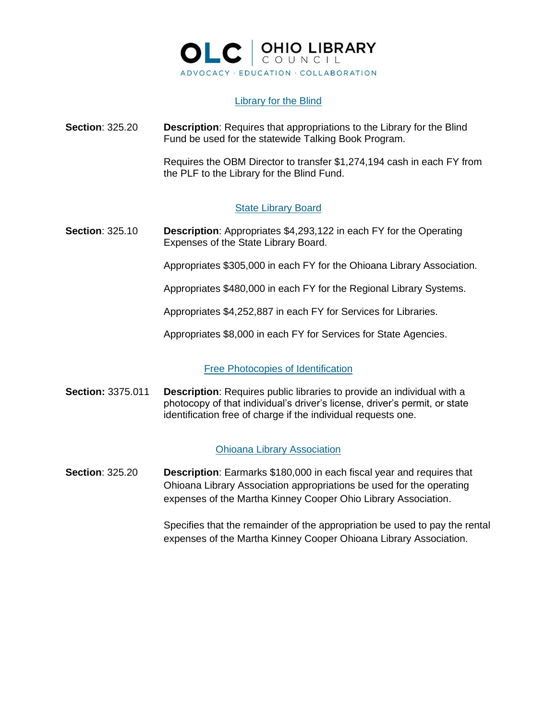

# Library for the Blind

**Section**: 325.20 **Description**: Requires that appropriations to the Library for the Blind Fund be used for the statewide Talking Book Program.

> Requires the OBM Director to transfer \$1,274,194 cash in each FY from the PLF to the Library for the Blind Fund.

# State Library Board

**Section**: 325.10 **Description**: Appropriates \$4,293,122 in each FY for the Operating Expenses of the State Library Board.

Appropriates \$305,000 in each FY for the Ohioana Library Association.

Appropriates \$480,000 in each FY for the Regional Library Systems.

Appropriates \$4,252,887 in each FY for Services for Libraries.

Appropriates \$8,000 in each FY for Services for State Agencies.

# Free Photocopies of Identification

**Section:** 3375.011 **Description**: Requires public libraries to provide an individual with a photocopy of that individual's driver's license, driver's permit, or state identification free of charge if the individual requests one.

# Ohioana Library Association

**Section**: 325.20 **Description**: Earmarks \$180,000 in each fiscal year and requires that Ohioana Library Association appropriations be used for the operating expenses of the Martha Kinney Cooper Ohio Library Association.

> Specifies that the remainder of the appropriation be used to pay the rental expenses of the Martha Kinney Cooper Ohioana Library Association.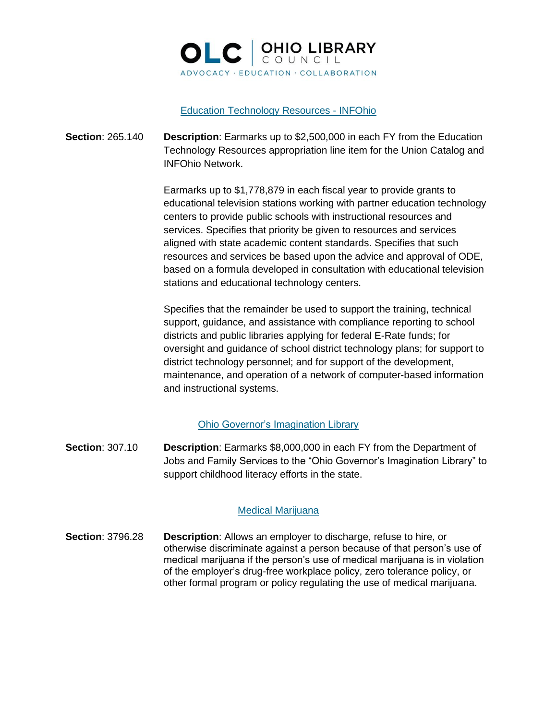

## Education Technology Resources - INFOhio

**Section**: 265.140 **Description**: Earmarks up to \$2,500,000 in each FY from the Education Technology Resources appropriation line item for the Union Catalog and INFOhio Network.

> Earmarks up to \$1,778,879 in each fiscal year to provide grants to educational television stations working with partner education technology centers to provide public schools with instructional resources and services. Specifies that priority be given to resources and services aligned with state academic content standards. Specifies that such resources and services be based upon the advice and approval of ODE, based on a formula developed in consultation with educational television stations and educational technology centers.

> Specifies that the remainder be used to support the training, technical support, guidance, and assistance with compliance reporting to school districts and public libraries applying for federal E-Rate funds; for oversight and guidance of school district technology plans; for support to district technology personnel; and for support of the development, maintenance, and operation of a network of computer-based information and instructional systems.

# Ohio Governor's Imagination Library

**Section**: 307.10 **Description**: Earmarks \$8,000,000 in each FY from the Department of Jobs and Family Services to the "Ohio Governor's Imagination Library" to support childhood literacy efforts in the state.

# Medical Marijuana

**Section**: 3796.28 **Description**: Allows an employer to discharge, refuse to hire, or otherwise discriminate against a person because of that person's use of medical marijuana if the person's use of medical marijuana is in violation of the employer's drug-free workplace policy, zero tolerance policy, or other formal program or policy regulating the use of medical marijuana.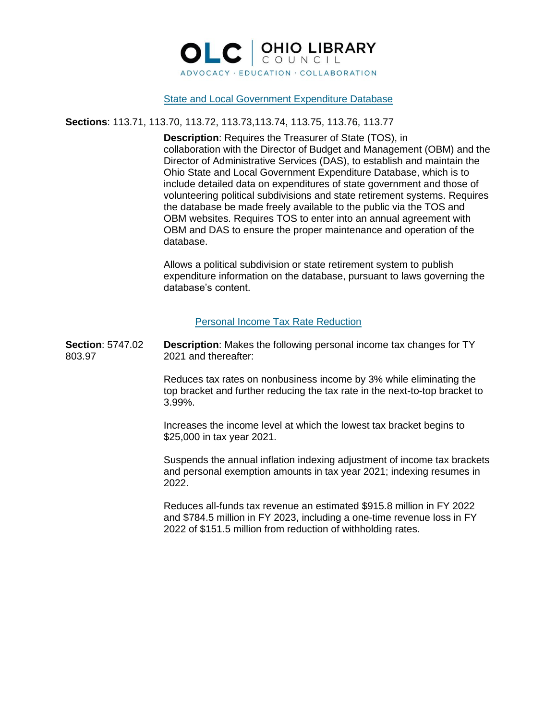

## State and Local Government Expenditure Database

## **Sections**: 113.71, 113.70, 113.72, 113.73,113.74, 113.75, 113.76, 113.77

**Description**: Requires the Treasurer of State (TOS), in collaboration with the Director of Budget and Management (OBM) and the Director of Administrative Services (DAS), to establish and maintain the Ohio State and Local Government Expenditure Database, which is to include detailed data on expenditures of state government and those of volunteering political subdivisions and state retirement systems. Requires the database be made freely available to the public via the TOS and OBM websites. Requires TOS to enter into an annual agreement with OBM and DAS to ensure the proper maintenance and operation of the database.

Allows a political subdivision or state retirement system to publish expenditure information on the database, pursuant to laws governing the database's content.

# Personal Income Tax Rate Reduction

**Section**: 5747.02 **Description**: Makes the following personal income tax changes for TY 803.97 2021 and thereafter:

> Reduces tax rates on nonbusiness income by 3% while eliminating the top bracket and further reducing the tax rate in the next-to-top bracket to 3.99%.

Increases the income level at which the lowest tax bracket begins to \$25,000 in tax year 2021.

Suspends the annual inflation indexing adjustment of income tax brackets and personal exemption amounts in tax year 2021; indexing resumes in 2022.

Reduces all-funds tax revenue an estimated \$915.8 million in FY 2022 and \$784.5 million in FY 2023, including a one-time revenue loss in FY 2022 of \$151.5 million from reduction of withholding rates.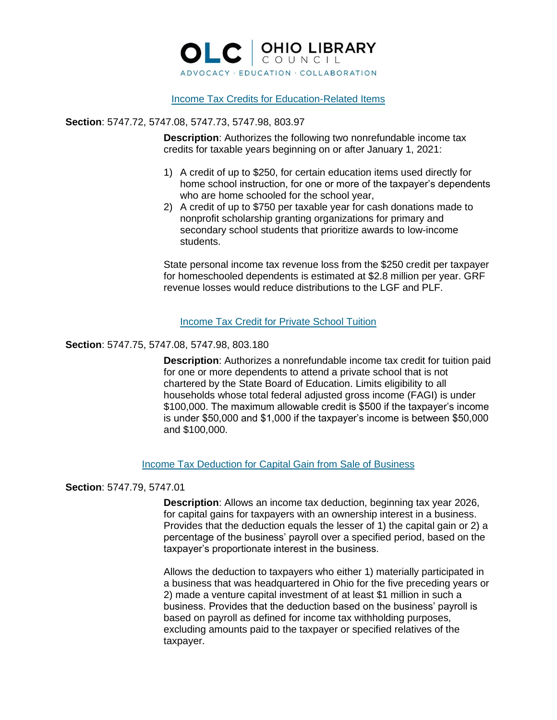

## Income Tax Credits for Education-Related Items

## **Section**: 5747.72, 5747.08, 5747.73, 5747.98, 803.97

**Description**: Authorizes the following two nonrefundable income tax credits for taxable years beginning on or after January 1, 2021:

- 1) A credit of up to \$250, for certain education items used directly for home school instruction, for one or more of the taxpayer's dependents who are home schooled for the school year,
- 2) A credit of up to \$750 per taxable year for cash donations made to nonprofit scholarship granting organizations for primary and secondary school students that prioritize awards to low-income students.

State personal income tax revenue loss from the \$250 credit per taxpayer for homeschooled dependents is estimated at \$2.8 million per year. GRF revenue losses would reduce distributions to the LGF and PLF.

## Income Tax Credit for Private School Tuition

#### **Section**: 5747.75, 5747.08, 5747.98, 803.180

**Description**: Authorizes a nonrefundable income tax credit for tuition paid for one or more dependents to attend a private school that is not chartered by the State Board of Education. Limits eligibility to all households whose total federal adjusted gross income (FAGI) is under \$100,000. The maximum allowable credit is \$500 if the taxpayer's income is under \$50,000 and \$1,000 if the taxpayer's income is between \$50,000 and \$100,000.

#### Income Tax Deduction for Capital Gain from Sale of Business

#### **Section**: 5747.79, 5747.01

**Description**: Allows an income tax deduction, beginning tax year 2026, for capital gains for taxpayers with an ownership interest in a business. Provides that the deduction equals the lesser of 1) the capital gain or 2) a percentage of the business' payroll over a specified period, based on the taxpayer's proportionate interest in the business.

Allows the deduction to taxpayers who either 1) materially participated in a business that was headquartered in Ohio for the five preceding years or 2) made a venture capital investment of at least \$1 million in such a business. Provides that the deduction based on the business' payroll is based on payroll as defined for income tax withholding purposes, excluding amounts paid to the taxpayer or specified relatives of the taxpayer.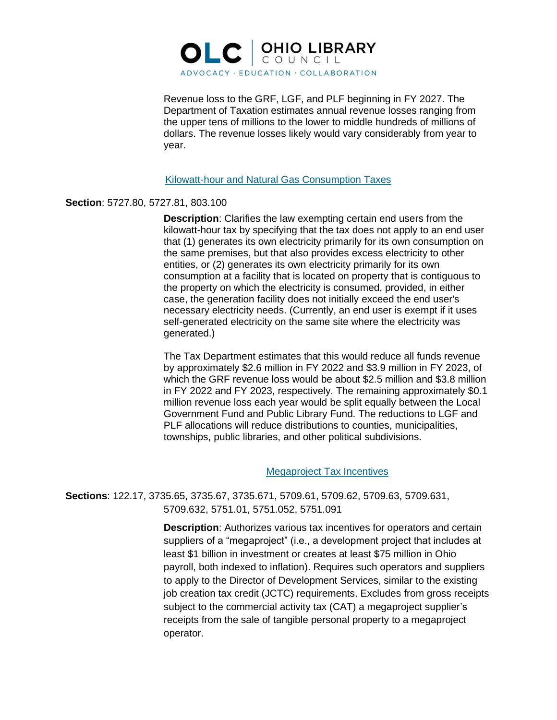

Revenue loss to the GRF, LGF, and PLF beginning in FY 2027. The Department of Taxation estimates annual revenue losses ranging from the upper tens of millions to the lower to middle hundreds of millions of dollars. The revenue losses likely would vary considerably from year to year.

#### Kilowatt-hour and Natural Gas Consumption Taxes

#### **Section**: 5727.80, 5727.81, 803.100

**Description**: Clarifies the law exempting certain end users from the kilowatt-hour tax by specifying that the tax does not apply to an end user that (1) generates its own electricity primarily for its own consumption on the same premises, but that also provides excess electricity to other entities, or (2) generates its own electricity primarily for its own consumption at a facility that is located on property that is contiguous to the property on which the electricity is consumed, provided, in either case, the generation facility does not initially exceed the end user's necessary electricity needs. (Currently, an end user is exempt if it uses self-generated electricity on the same site where the electricity was generated.)

The Tax Department estimates that this would reduce all funds revenue by approximately \$2.6 million in FY 2022 and \$3.9 million in FY 2023, of which the GRF revenue loss would be about \$2.5 million and \$3.8 million in FY 2022 and FY 2023, respectively. The remaining approximately \$0.1 million revenue loss each year would be split equally between the Local Government Fund and Public Library Fund. The reductions to LGF and PLF allocations will reduce distributions to counties, municipalities, townships, public libraries, and other political subdivisions.

#### Megaproject Tax Incentives

**Sections**: 122.17, 3735.65, 3735.67, 3735.671, 5709.61, 5709.62, 5709.63, 5709.631, 5709.632, 5751.01, 5751.052, 5751.091

> **Description**: Authorizes various tax incentives for operators and certain suppliers of a "megaproject" (i.e., a development project that includes at least \$1 billion in investment or creates at least \$75 million in Ohio payroll, both indexed to inflation). Requires such operators and suppliers to apply to the Director of Development Services, similar to the existing job creation tax credit (JCTC) requirements. Excludes from gross receipts subject to the commercial activity tax (CAT) a megaproject supplier's receipts from the sale of tangible personal property to a megaproject operator.